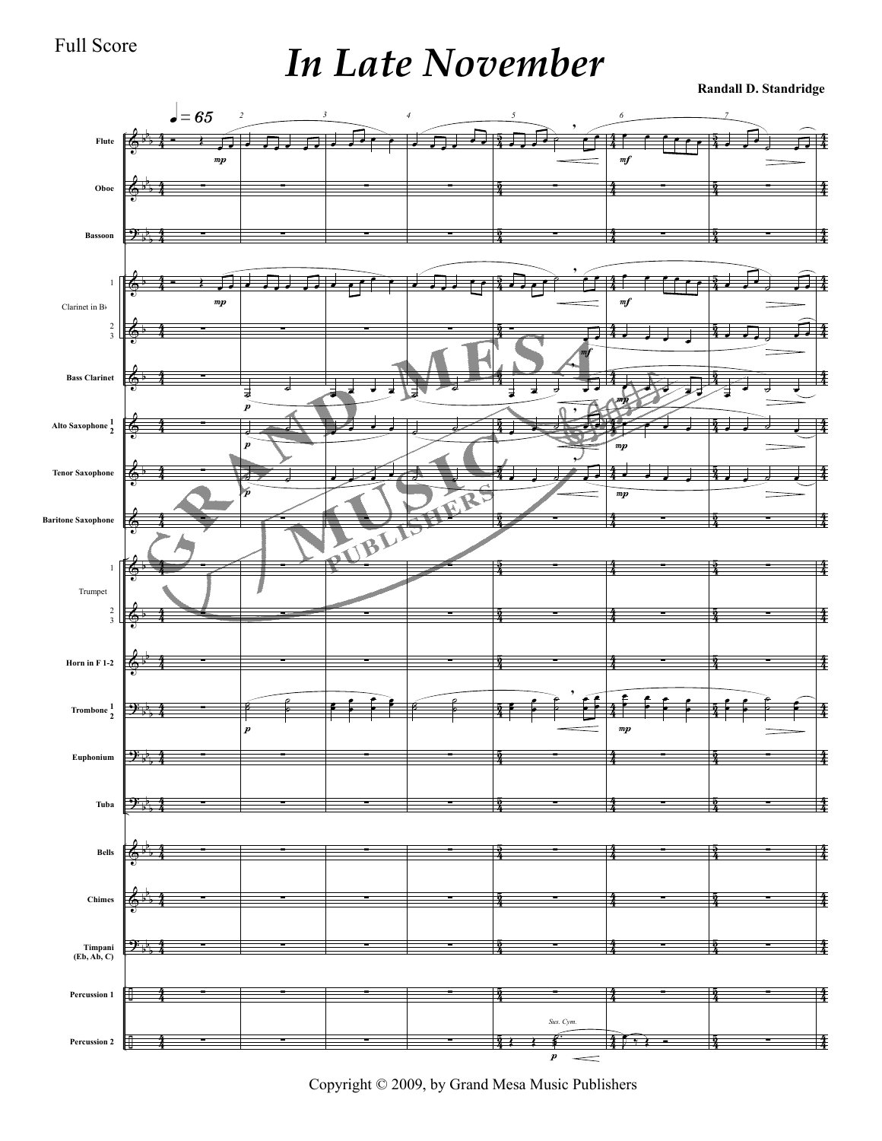## Full Score

*In Late November*

**Randall D. Standridge**



Copyright © 2009, by Grand Mesa Music Publishers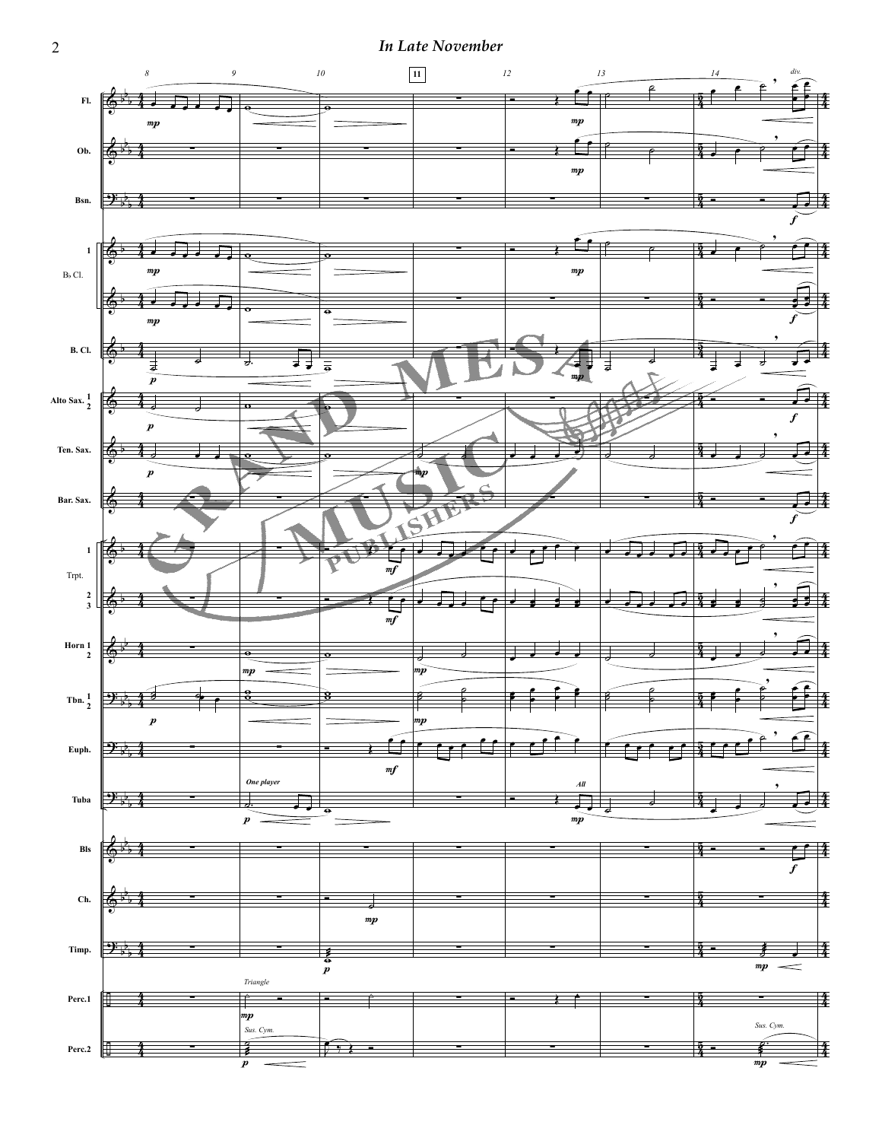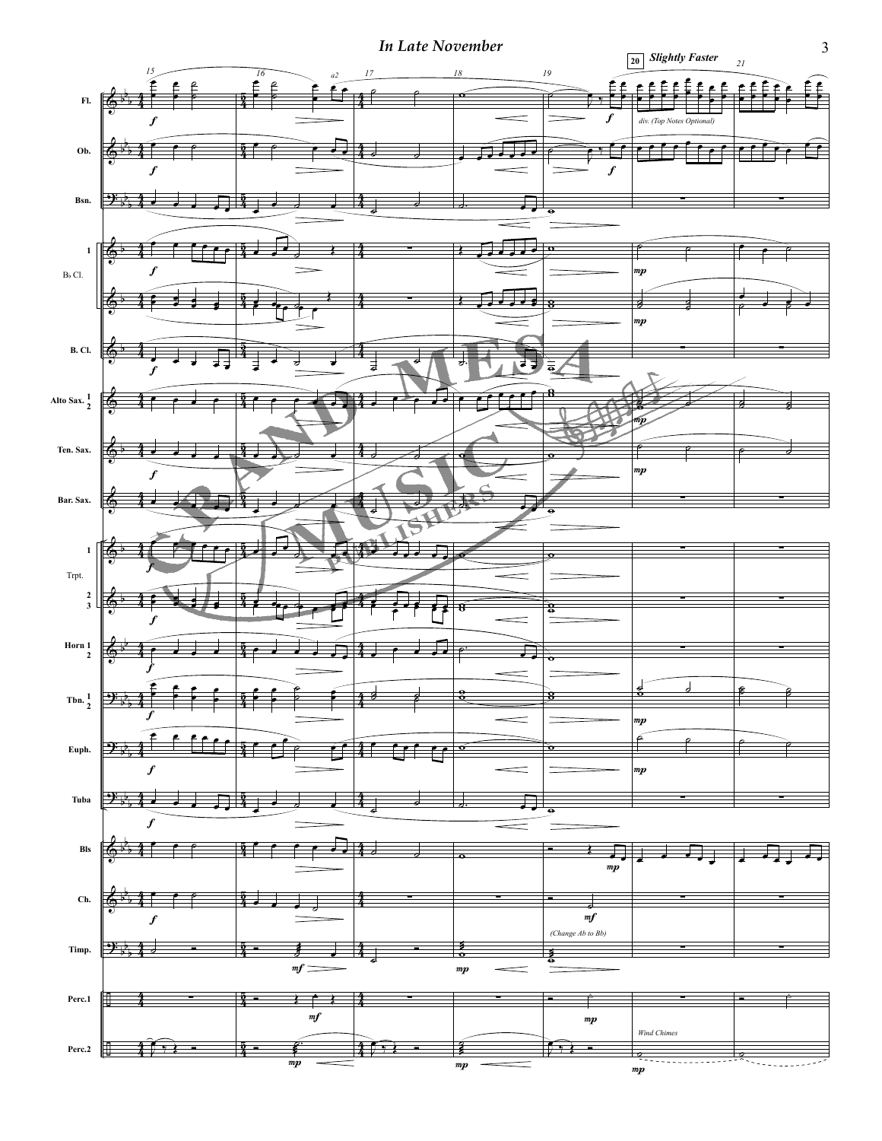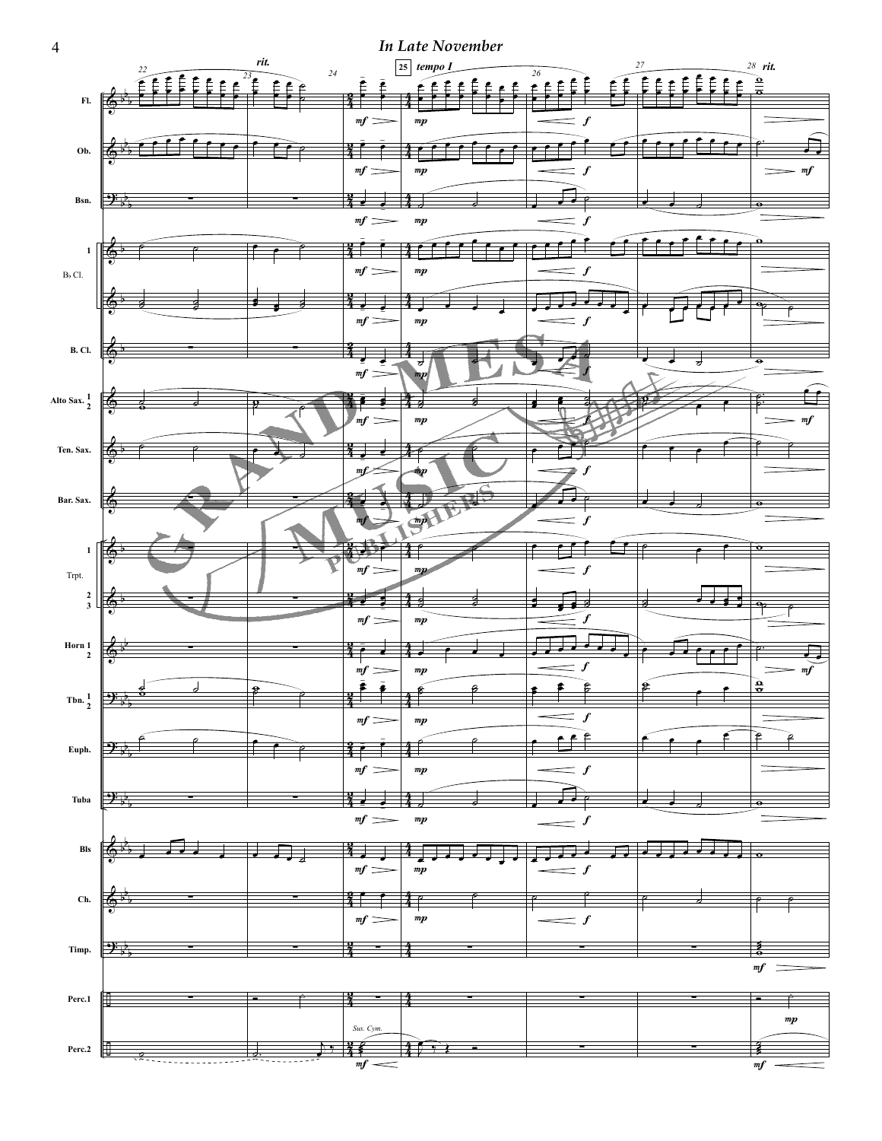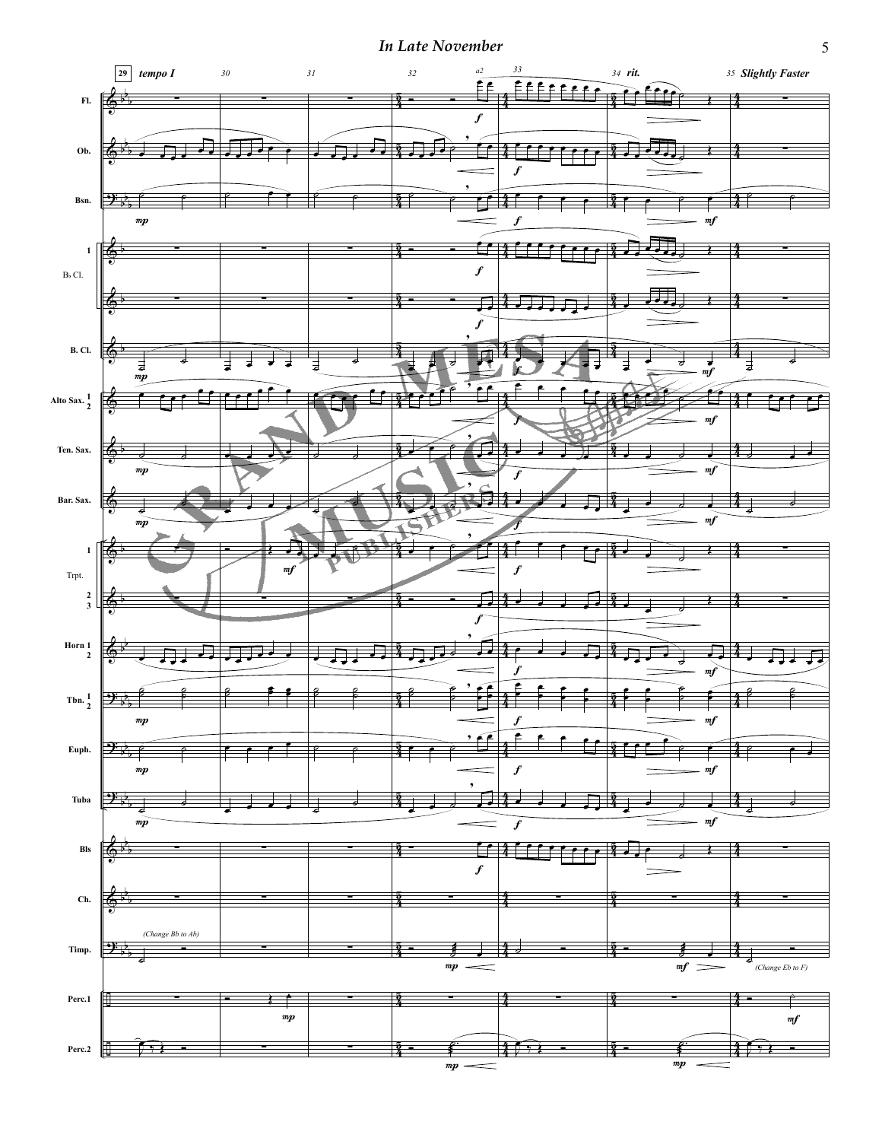

5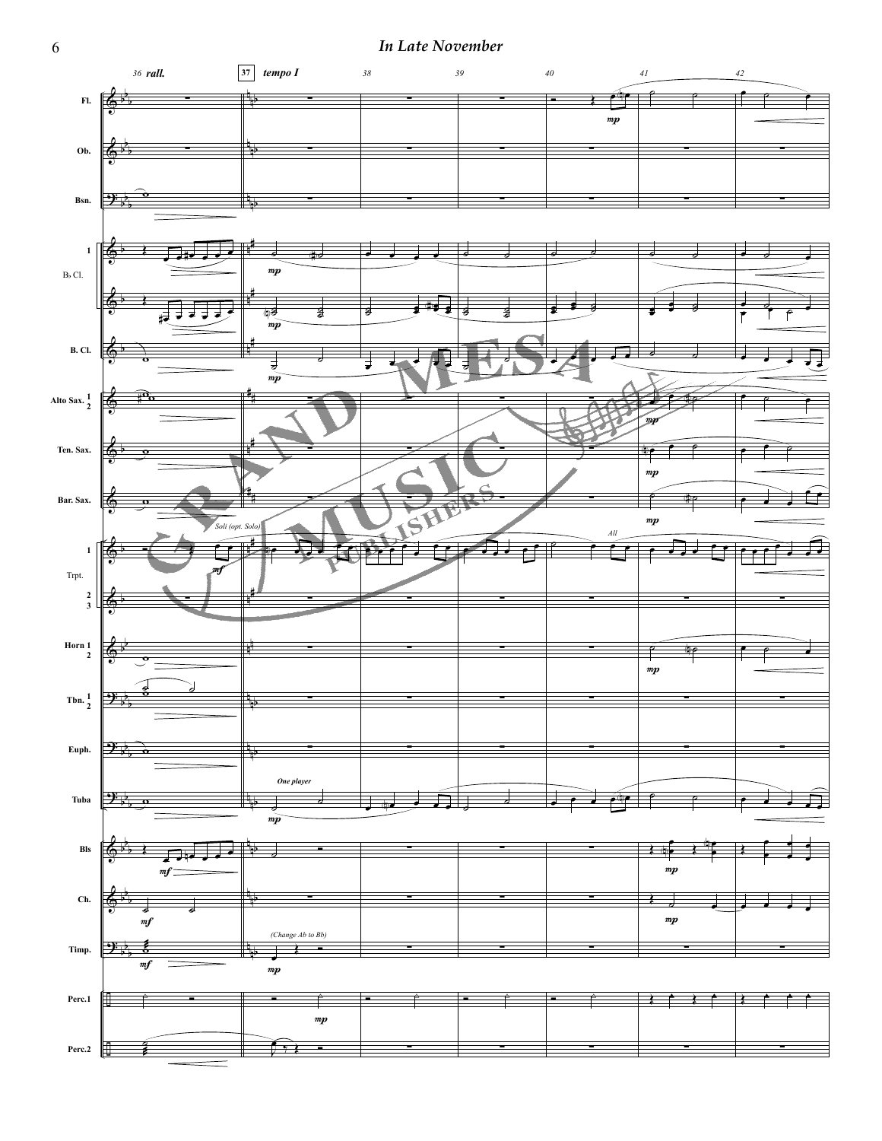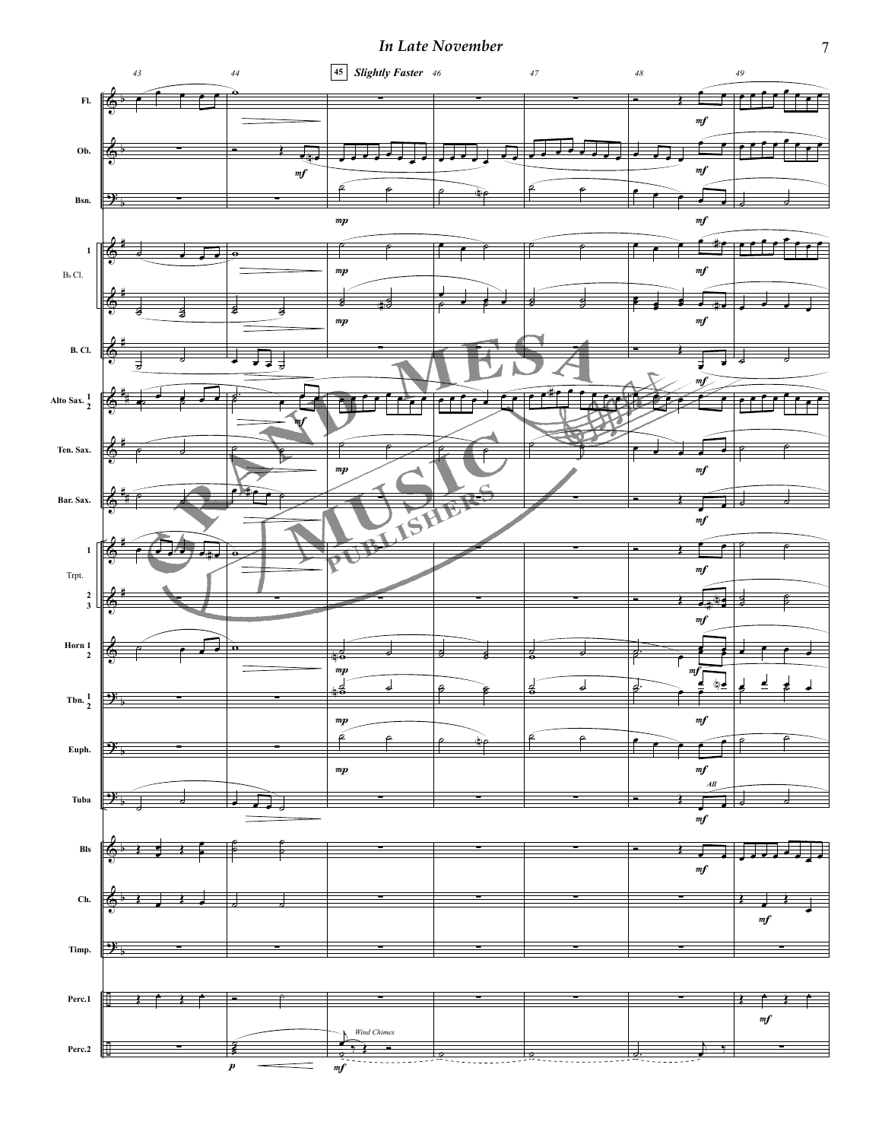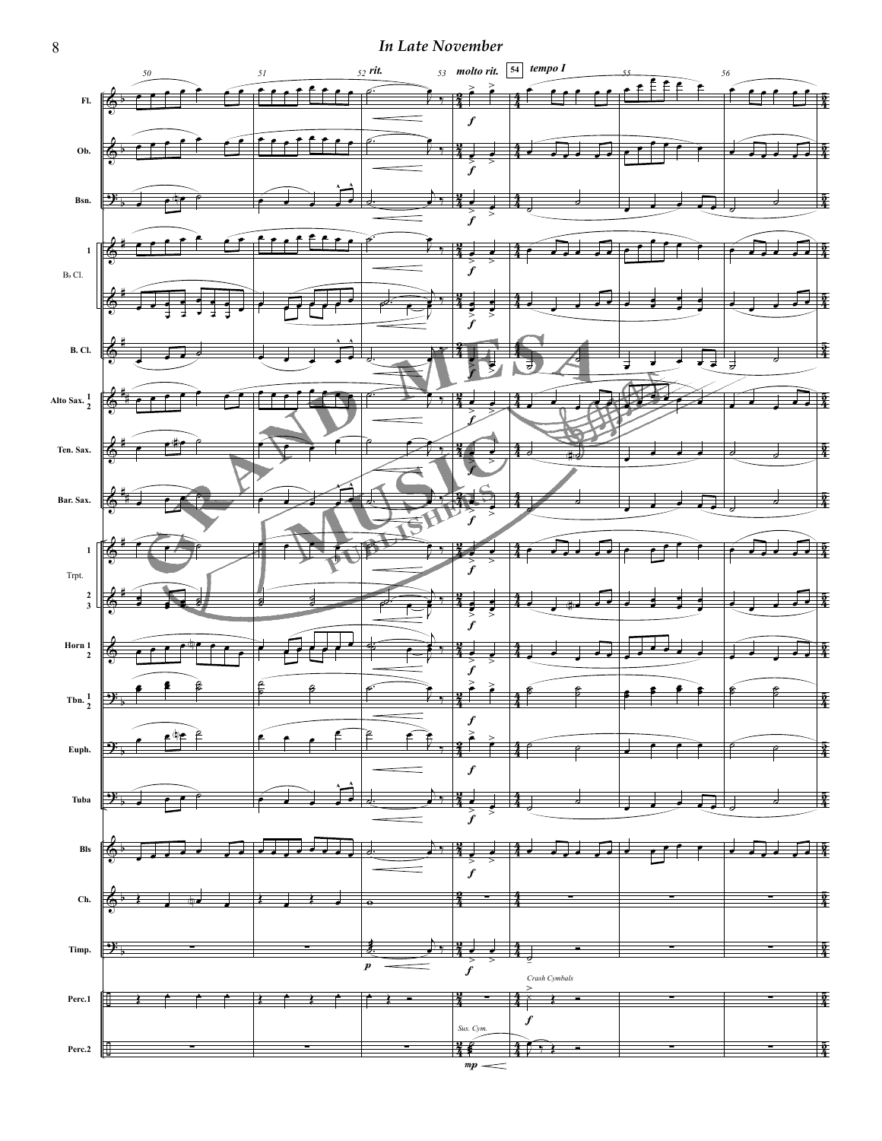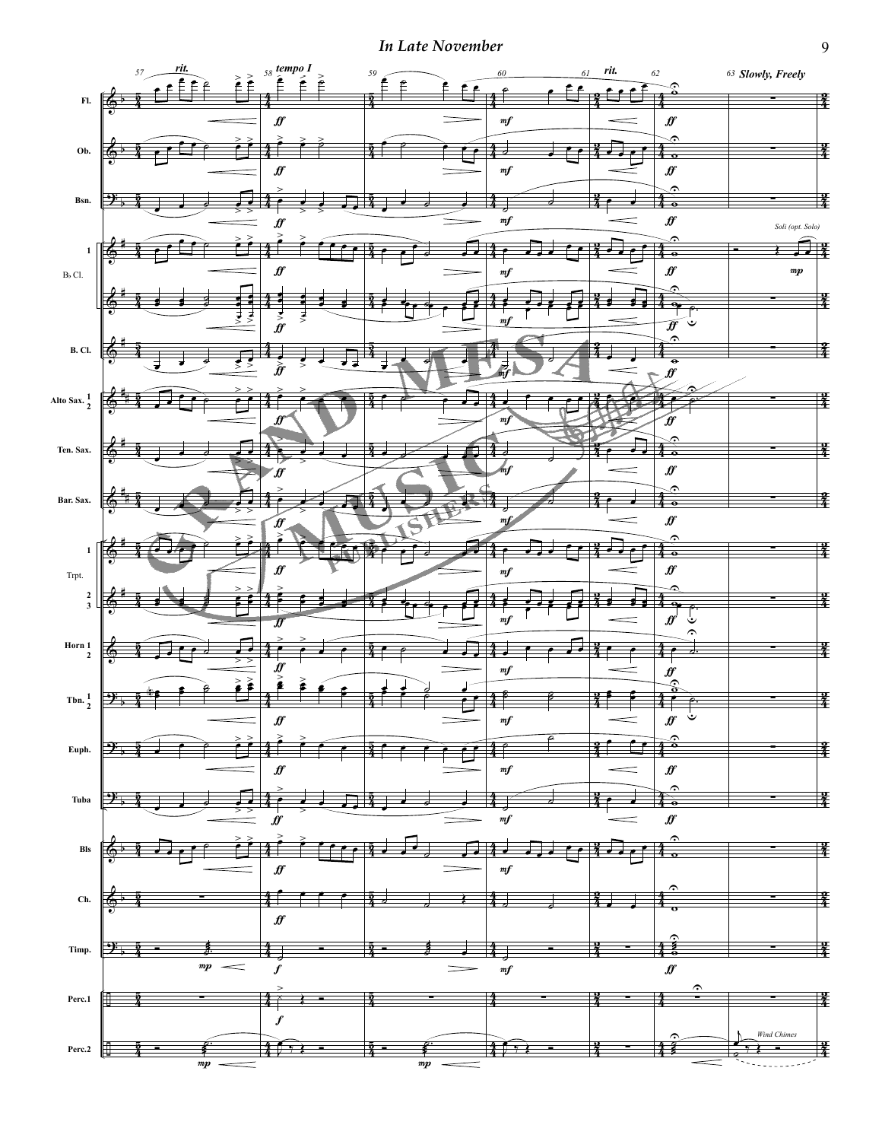